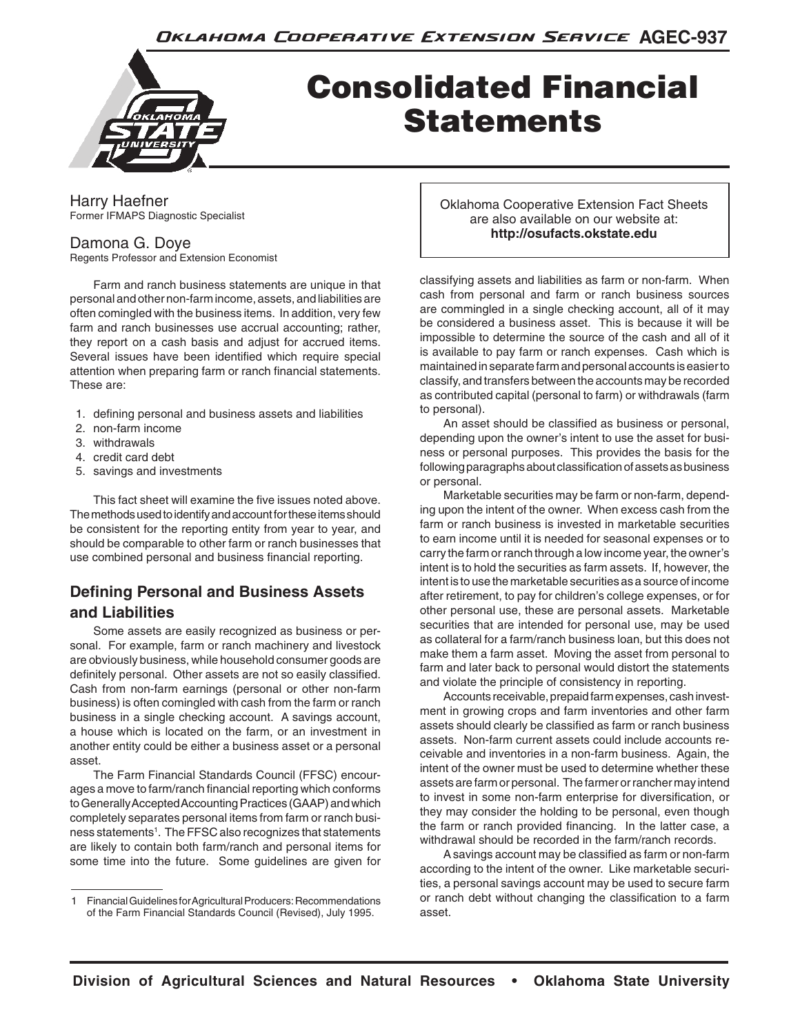

# Consolidated Financial Statements

Harry Haefner Former IFMAPS Diagnostic Specialist

# Damona G. Doye

Regents Professor and Extension Economist

Farm and ranch business statements are unique in that personal and other non-farm income, assets, and liabilities are often comingled with the business items. In addition, very few farm and ranch businesses use accrual accounting; rather, they report on a cash basis and adjust for accrued items. Several issues have been identified which require special attention when preparing farm or ranch financial statements. These are:

- 1. defining personal and business assets and liabilities
- 2. non-farm income
- 3. withdrawals
- 4. credit card debt
- 5. savings and investments

This fact sheet will examine the five issues noted above. The methods used to identify and account for these items should be consistent for the reporting entity from year to year, and should be comparable to other farm or ranch businesses that use combined personal and business financial reporting.

# **Defining Personal and Business Assets and Liabilities**

Some assets are easily recognized as business or personal. For example, farm or ranch machinery and livestock are obviously business, while household consumer goods are definitely personal. Other assets are not so easily classified. Cash from non-farm earnings (personal or other non-farm business) is often comingled with cash from the farm or ranch business in a single checking account. A savings account, a house which is located on the farm, or an investment in another entity could be either a business asset or a personal asset.

The Farm Financial Standards Council (FFSC) encourages a move to farm/ranch financial reporting which conforms to Generally Accepted Accounting Practices (GAAP) and which completely separates personal items from farm or ranch business statements<sup>1</sup>. The FFSC also recognizes that statements are likely to contain both farm/ranch and personal items for some time into the future. Some guidelines are given for

Oklahoma Cooperative Extension Fact Sheets are also available on our website at: **http://osufacts.okstate.edu**

classifying assets and liabilities as farm or non-farm. When cash from personal and farm or ranch business sources are commingled in a single checking account, all of it may be considered a business asset. This is because it will be impossible to determine the source of the cash and all of it is available to pay farm or ranch expenses. Cash which is maintained in separate farm and personal accounts is easier to classify, and transfers between the accounts may be recorded as contributed capital (personal to farm) or withdrawals (farm to personal).

An asset should be classified as business or personal, depending upon the owner's intent to use the asset for business or personal purposes. This provides the basis for the following paragraphs about classification of assets as business or personal.

Marketable securities may be farm or non-farm, depending upon the intent of the owner. When excess cash from the farm or ranch business is invested in marketable securities to earn income until it is needed for seasonal expenses or to carry the farm or ranch through a low income year, the owner's intent is to hold the securities as farm assets. If, however, the intent is to use the marketable securities as a source of income after retirement, to pay for children's college expenses, or for other personal use, these are personal assets. Marketable securities that are intended for personal use, may be used as collateral for a farm/ranch business loan, but this does not make them a farm asset. Moving the asset from personal to farm and later back to personal would distort the statements and violate the principle of consistency in reporting.

Accounts receivable, prepaid farm expenses, cash investment in growing crops and farm inventories and other farm assets should clearly be classified as farm or ranch business assets. Non-farm current assets could include accounts receivable and inventories in a non-farm business. Again, the intent of the owner must be used to determine whether these assets are farm or personal. The farmer or rancher may intend to invest in some non-farm enterprise for diversification, or they may consider the holding to be personal, even though the farm or ranch provided financing. In the latter case, a withdrawal should be recorded in the farm/ranch records.

A savings account may be classified as farm or non-farm according to the intent of the owner. Like marketable securities, a personal savings account may be used to secure farm or ranch debt without changing the classification to a farm asset.

<sup>1</sup> Financial Guidelines for Agricultural Producers: Recommendations of the Farm Financial Standards Council (Revised), July 1995.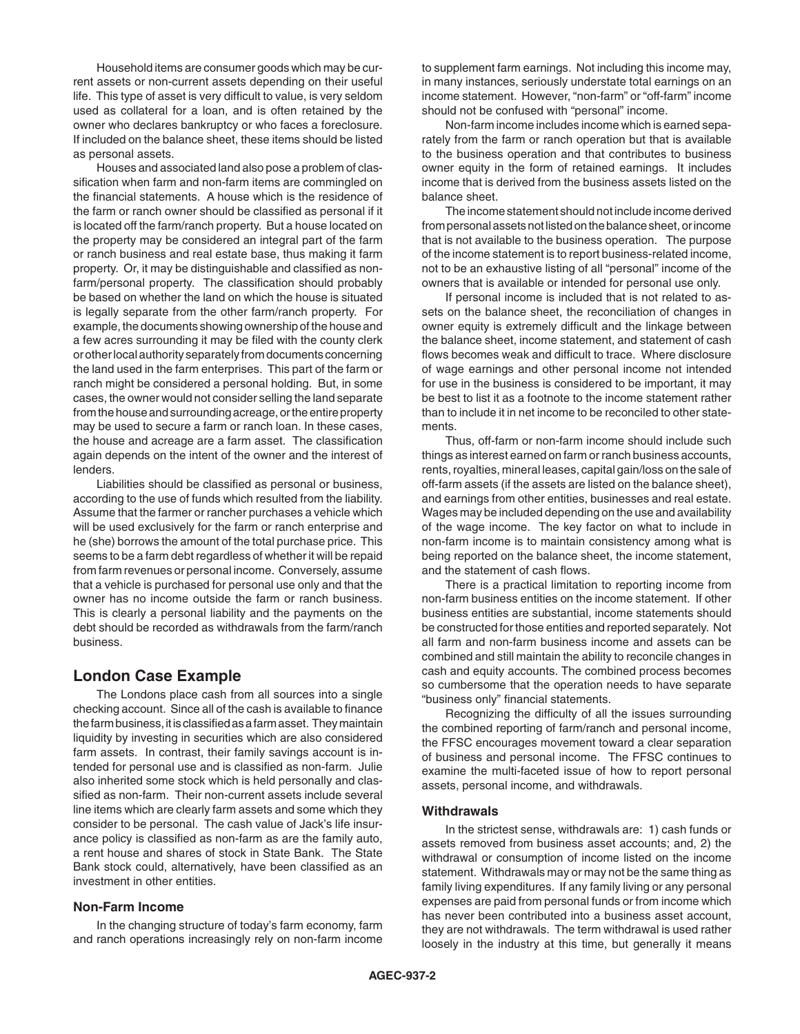Household items are consumer goods which may be current assets or non-current assets depending on their useful life. This type of asset is very difficult to value, is very seldom used as collateral for a loan, and is often retained by the owner who declares bankruptcy or who faces a foreclosure. If included on the balance sheet, these items should be listed as personal assets.

Houses and associated land also pose a problem of classification when farm and non-farm items are commingled on the financial statements. A house which is the residence of the farm or ranch owner should be classified as personal if it is located off the farm/ranch property. But a house located on the property may be considered an integral part of the farm or ranch business and real estate base, thus making it farm property. Or, it may be distinguishable and classified as nonfarm/personal property. The classification should probably be based on whether the land on which the house is situated is legally separate from the other farm/ranch property. For example, the documents showing ownership of the house and a few acres surrounding it may be filed with the county clerk or other local authority separately from documents concerning the land used in the farm enterprises. This part of the farm or ranch might be considered a personal holding. But, in some cases, the owner would not consider selling the land separate from the house and surrounding acreage, or the entire property may be used to secure a farm or ranch loan. In these cases, the house and acreage are a farm asset. The classification again depends on the intent of the owner and the interest of lenders.

Liabilities should be classified as personal or business, according to the use of funds which resulted from the liability. Assume that the farmer or rancher purchases a vehicle which will be used exclusively for the farm or ranch enterprise and he (she) borrows the amount of the total purchase price. This seems to be a farm debt regardless of whether it will be repaid from farm revenues or personal income. Conversely, assume that a vehicle is purchased for personal use only and that the owner has no income outside the farm or ranch business. This is clearly a personal liability and the payments on the debt should be recorded as withdrawals from the farm/ranch business.

## **London Case Example**

The Londons place cash from all sources into a single checking account. Since all of the cash is available to finance the farm business, it is classified as a farm asset. They maintain liquidity by investing in securities which are also considered farm assets. In contrast, their family savings account is intended for personal use and is classified as non-farm. Julie also inherited some stock which is held personally and classified as non-farm. Their non-current assets include several line items which are clearly farm assets and some which they consider to be personal. The cash value of Jack's life insurance policy is classified as non-farm as are the family auto, a rent house and shares of stock in State Bank. The State Bank stock could, alternatively, have been classified as an investment in other entities.

#### **Non-Farm Income**

In the changing structure of today's farm economy, farm and ranch operations increasingly rely on non-farm income to supplement farm earnings. Not including this income may, in many instances, seriously understate total earnings on an income statement. However, "non-farm" or "off-farm" income should not be confused with "personal" income.

Non-farm income includes income which is earned separately from the farm or ranch operation but that is available to the business operation and that contributes to business owner equity in the form of retained earnings. It includes income that is derived from the business assets listed on the balance sheet.

The income statement should not include income derived from personal assets not listed on the balance sheet, or income that is not available to the business operation. The purpose of the income statement is to report business-related income, not to be an exhaustive listing of all "personal" income of the owners that is available or intended for personal use only.

If personal income is included that is not related to assets on the balance sheet, the reconciliation of changes in owner equity is extremely difficult and the linkage between the balance sheet, income statement, and statement of cash flows becomes weak and difficult to trace. Where disclosure of wage earnings and other personal income not intended for use in the business is considered to be important, it may be best to list it as a footnote to the income statement rather than to include it in net income to be reconciled to other statements.

Thus, off-farm or non-farm income should include such things as interest earned on farm or ranch business accounts, rents, royalties, mineral leases, capital gain/loss on the sale of off-farm assets (if the assets are listed on the balance sheet), and earnings from other entities, businesses and real estate. Wages may be included depending on the use and availability of the wage income. The key factor on what to include in non-farm income is to maintain consistency among what is being reported on the balance sheet, the income statement, and the statement of cash flows.

There is a practical limitation to reporting income from non-farm business entities on the income statement. If other business entities are substantial, income statements should be constructed for those entities and reported separately. Not all farm and non-farm business income and assets can be combined and still maintain the ability to reconcile changes in cash and equity accounts. The combined process becomes so cumbersome that the operation needs to have separate "business only" financial statements.

Recognizing the difficulty of all the issues surrounding the combined reporting of farm/ranch and personal income, the FFSC encourages movement toward a clear separation of business and personal income. The FFSC continues to examine the multi-faceted issue of how to report personal assets, personal income, and withdrawals.

#### **Withdrawals**

In the strictest sense, withdrawals are: 1) cash funds or assets removed from business asset accounts; and, 2) the withdrawal or consumption of income listed on the income statement. Withdrawals may or may not be the same thing as family living expenditures. If any family living or any personal expenses are paid from personal funds or from income which has never been contributed into a business asset account, they are not withdrawals. The term withdrawal is used rather loosely in the industry at this time, but generally it means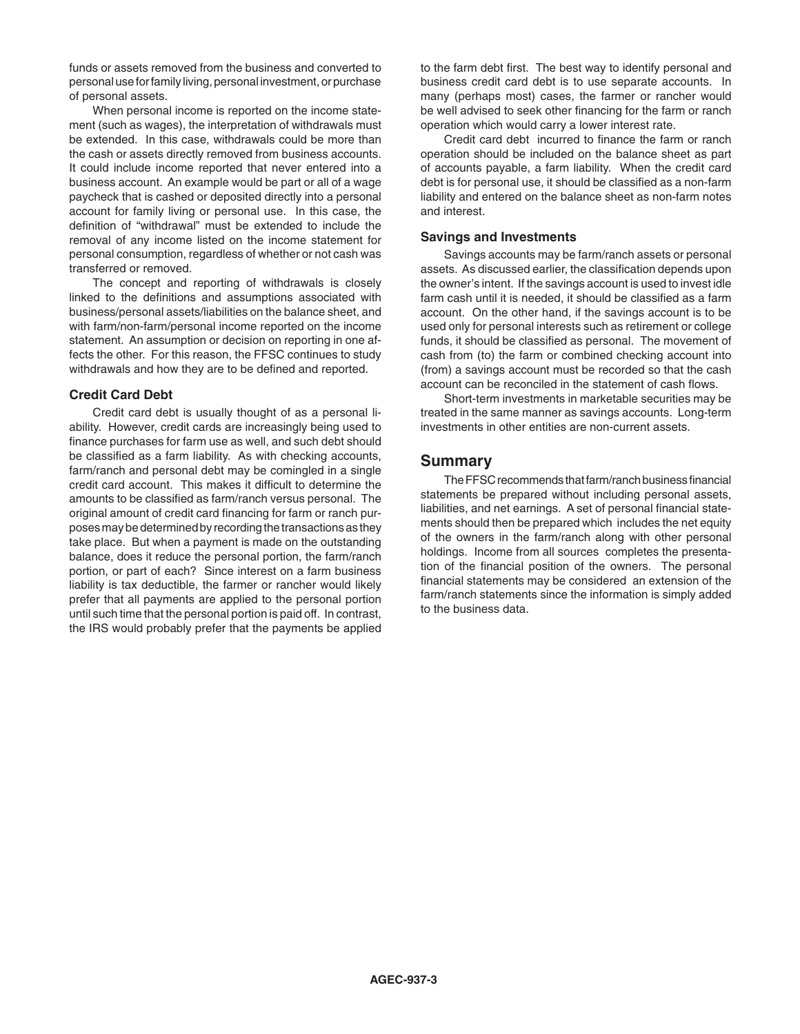funds or assets removed from the business and converted to personal use for family living, personal investment, or purchase of personal assets.

When personal income is reported on the income statement (such as wages), the interpretation of withdrawals must be extended. In this case, withdrawals could be more than the cash or assets directly removed from business accounts. It could include income reported that never entered into a business account. An example would be part or all of a wage paycheck that is cashed or deposited directly into a personal account for family living or personal use. In this case, the definition of "withdrawal" must be extended to include the removal of any income listed on the income statement for personal consumption, regardless of whether or not cash was transferred or removed.

The concept and reporting of withdrawals is closely linked to the definitions and assumptions associated with business/personal assets/liabilities on the balance sheet, and with farm/non-farm/personal income reported on the income statement. An assumption or decision on reporting in one affects the other. For this reason, the FFSC continues to study withdrawals and how they are to be defined and reported.

#### **Credit Card Debt**

Credit card debt is usually thought of as a personal liability. However, credit cards are increasingly being used to finance purchases for farm use as well, and such debt should be classified as a farm liability. As with checking accounts, farm/ranch and personal debt may be comingled in a single credit card account. This makes it difficult to determine the amounts to be classified as farm/ranch versus personal. The original amount of credit card financing for farm or ranch purposes may be determined by recording the transactions as they take place. But when a payment is made on the outstanding balance, does it reduce the personal portion, the farm/ranch portion, or part of each? Since interest on a farm business liability is tax deductible, the farmer or rancher would likely prefer that all payments are applied to the personal portion until such time that the personal portion is paid off. In contrast, the IRS would probably prefer that the payments be applied

to the farm debt first. The best way to identify personal and business credit card debt is to use separate accounts. In many (perhaps most) cases, the farmer or rancher would be well advised to seek other financing for the farm or ranch operation which would carry a lower interest rate.

Credit card debt incurred to finance the farm or ranch operation should be included on the balance sheet as part of accounts payable, a farm liability. When the credit card debt is for personal use, it should be classified as a non-farm liability and entered on the balance sheet as non-farm notes and interest.

#### **Savings and Investments**

Savings accounts may be farm/ranch assets or personal assets. As discussed earlier, the classification depends upon the owner's intent. If the savings account is used to invest idle farm cash until it is needed, it should be classified as a farm account. On the other hand, if the savings account is to be used only for personal interests such as retirement or college funds, it should be classified as personal. The movement of cash from (to) the farm or combined checking account into (from) a savings account must be recorded so that the cash account can be reconciled in the statement of cash flows.

Short-term investments in marketable securities may be treated in the same manner as savings accounts. Long-term investments in other entities are non-current assets.

### **Summary**

The FFSC recommends that farm/ranch business financial statements be prepared without including personal assets, liabilities, and net earnings. A set of personal financial statements should then be prepared which includes the net equity of the owners in the farm/ranch along with other personal holdings. Income from all sources completes the presentation of the financial position of the owners. The personal financial statements may be considered an extension of the farm/ranch statements since the information is simply added to the business data.